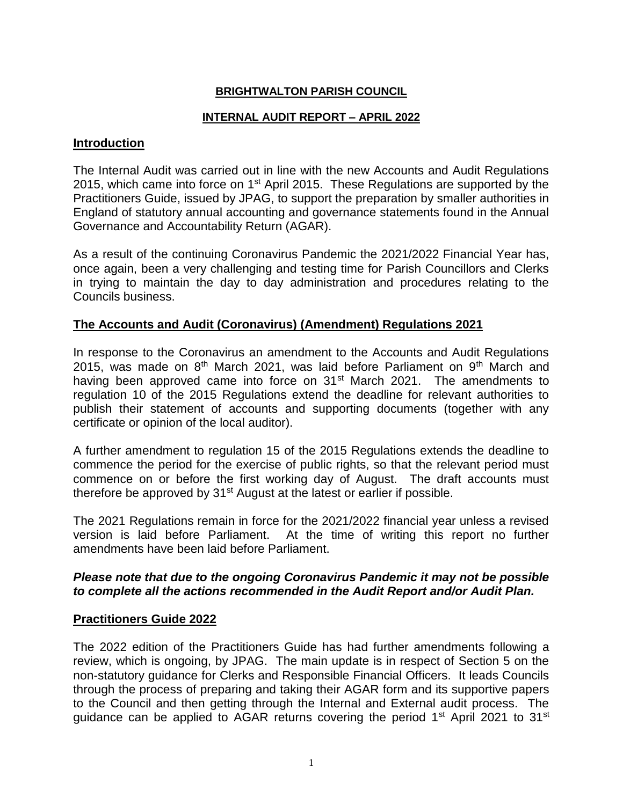## **BRIGHTWALTON PARISH COUNCIL**

## **INTERNAL AUDIT REPORT – APRIL 2022**

#### **Introduction**

The Internal Audit was carried out in line with the new Accounts and Audit Regulations 2015, which came into force on  $1<sup>st</sup>$  April 2015. These Regulations are supported by the Practitioners Guide, issued by JPAG, to support the preparation by smaller authorities in England of statutory annual accounting and governance statements found in the Annual Governance and Accountability Return (AGAR).

As a result of the continuing Coronavirus Pandemic the 2021/2022 Financial Year has, once again, been a very challenging and testing time for Parish Councillors and Clerks in trying to maintain the day to day administration and procedures relating to the Councils business.

## **The Accounts and Audit (Coronavirus) (Amendment) Regulations 2021**

In response to the Coronavirus an amendment to the Accounts and Audit Regulations 2015, was made on  $8<sup>th</sup>$  March 2021, was laid before Parliament on  $9<sup>th</sup>$  March and having been approved came into force on  $31<sup>st</sup>$  March 2021. The amendments to regulation 10 of the 2015 Regulations extend the deadline for relevant authorities to publish their statement of accounts and supporting documents (together with any certificate or opinion of the local auditor).

A further amendment to regulation 15 of the 2015 Regulations extends the deadline to commence the period for the exercise of public rights, so that the relevant period must commence on or before the first working day of August. The draft accounts must therefore be approved by 31<sup>st</sup> August at the latest or earlier if possible.

The 2021 Regulations remain in force for the 2021/2022 financial year unless a revised version is laid before Parliament. At the time of writing this report no further amendments have been laid before Parliament.

## *Please note that due to the ongoing Coronavirus Pandemic it may not be possible to complete all the actions recommended in the Audit Report and/or Audit Plan.*

#### **Practitioners Guide 2022**

The 2022 edition of the Practitioners Guide has had further amendments following a review, which is ongoing, by JPAG. The main update is in respect of Section 5 on the non-statutory guidance for Clerks and Responsible Financial Officers. It leads Councils through the process of preparing and taking their AGAR form and its supportive papers to the Council and then getting through the Internal and External audit process. The guidance can be applied to AGAR returns covering the period  $1<sup>st</sup>$  April 2021 to  $31<sup>st</sup>$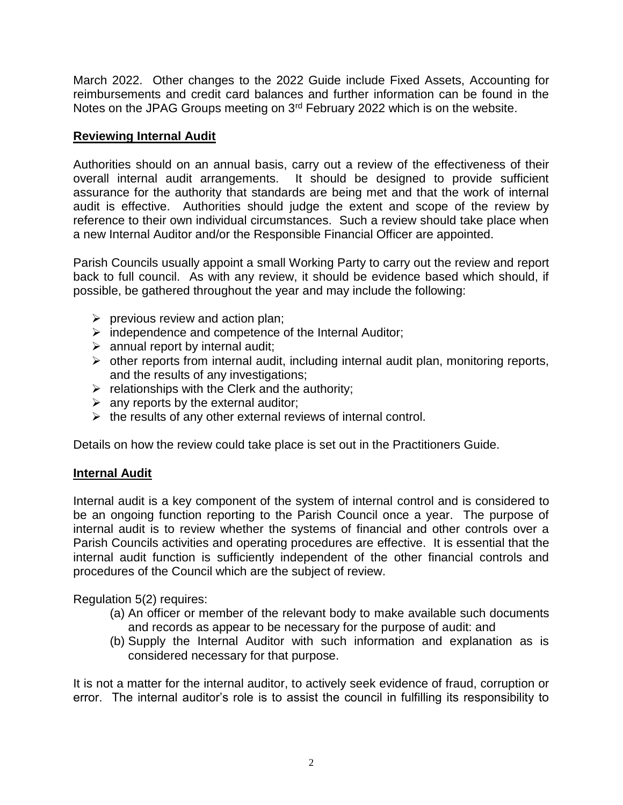March 2022. Other changes to the 2022 Guide include Fixed Assets, Accounting for reimbursements and credit card balances and further information can be found in the Notes on the JPAG Groups meeting on 3rd February 2022 which is on the website.

# **Reviewing Internal Audit**

Authorities should on an annual basis, carry out a review of the effectiveness of their overall internal audit arrangements. It should be designed to provide sufficient assurance for the authority that standards are being met and that the work of internal audit is effective. Authorities should judge the extent and scope of the review by reference to their own individual circumstances. Such a review should take place when a new Internal Auditor and/or the Responsible Financial Officer are appointed.

Parish Councils usually appoint a small Working Party to carry out the review and report back to full council. As with any review, it should be evidence based which should, if possible, be gathered throughout the year and may include the following:

- $\triangleright$  previous review and action plan;
- $\triangleright$  independence and competence of the Internal Auditor;
- $\triangleright$  annual report by internal audit;
- $\triangleright$  other reports from internal audit, including internal audit plan, monitoring reports, and the results of any investigations;
- $\triangleright$  relationships with the Clerk and the authority;
- $\triangleright$  any reports by the external auditor;
- $\triangleright$  the results of any other external reviews of internal control.

Details on how the review could take place is set out in the Practitioners Guide.

# **Internal Audit**

Internal audit is a key component of the system of internal control and is considered to be an ongoing function reporting to the Parish Council once a year. The purpose of internal audit is to review whether the systems of financial and other controls over a Parish Councils activities and operating procedures are effective. It is essential that the internal audit function is sufficiently independent of the other financial controls and procedures of the Council which are the subject of review.

Regulation 5(2) requires:

- (a) An officer or member of the relevant body to make available such documents and records as appear to be necessary for the purpose of audit: and
- (b) Supply the Internal Auditor with such information and explanation as is considered necessary for that purpose.

It is not a matter for the internal auditor, to actively seek evidence of fraud, corruption or error. The internal auditor's role is to assist the council in fulfilling its responsibility to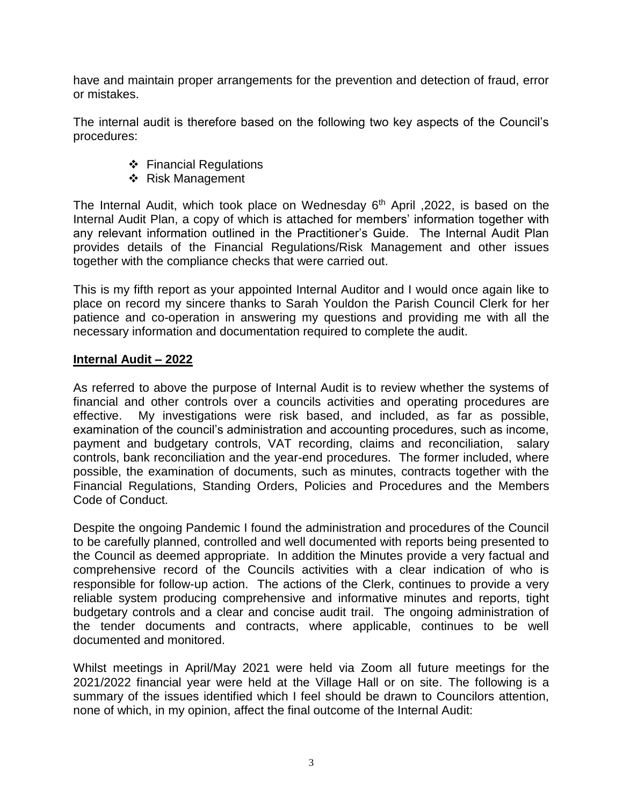have and maintain proper arrangements for the prevention and detection of fraud, error or mistakes.

The internal audit is therefore based on the following two key aspects of the Council's procedures:

- ❖ Financial Regulations
- ❖ Risk Management

The Internal Audit, which took place on Wednesday  $6<sup>th</sup>$  April , 2022, is based on the Internal Audit Plan, a copy of which is attached for members' information together with any relevant information outlined in the Practitioner's Guide. The Internal Audit Plan provides details of the Financial Regulations/Risk Management and other issues together with the compliance checks that were carried out.

This is my fifth report as your appointed Internal Auditor and I would once again like to place on record my sincere thanks to Sarah Youldon the Parish Council Clerk for her patience and co-operation in answering my questions and providing me with all the necessary information and documentation required to complete the audit.

## **Internal Audit – 2022**

As referred to above the purpose of Internal Audit is to review whether the systems of financial and other controls over a councils activities and operating procedures are effective. My investigations were risk based, and included, as far as possible, examination of the council's administration and accounting procedures, such as income, payment and budgetary controls, VAT recording, claims and reconciliation, salary controls, bank reconciliation and the year-end procedures. The former included, where possible, the examination of documents, such as minutes, contracts together with the Financial Regulations, Standing Orders, Policies and Procedures and the Members Code of Conduct.

Despite the ongoing Pandemic I found the administration and procedures of the Council to be carefully planned, controlled and well documented with reports being presented to the Council as deemed appropriate. In addition the Minutes provide a very factual and comprehensive record of the Councils activities with a clear indication of who is responsible for follow-up action. The actions of the Clerk, continues to provide a very reliable system producing comprehensive and informative minutes and reports, tight budgetary controls and a clear and concise audit trail. The ongoing administration of the tender documents and contracts, where applicable, continues to be well documented and monitored.

Whilst meetings in April/May 2021 were held via Zoom all future meetings for the 2021/2022 financial year were held at the Village Hall or on site. The following is a summary of the issues identified which I feel should be drawn to Councilors attention, none of which, in my opinion, affect the final outcome of the Internal Audit: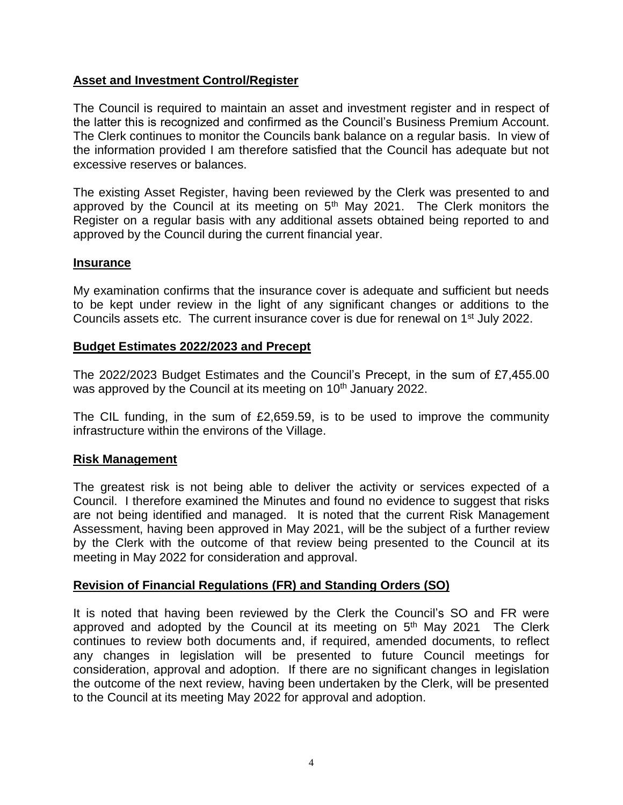## **Asset and Investment Control/Register**

The Council is required to maintain an asset and investment register and in respect of the latter this is recognized and confirmed as the Council's Business Premium Account. The Clerk continues to monitor the Councils bank balance on a regular basis. In view of the information provided I am therefore satisfied that the Council has adequate but not excessive reserves or balances.

The existing Asset Register, having been reviewed by the Clerk was presented to and approved by the Council at its meeting on  $5<sup>th</sup>$  May 2021. The Clerk monitors the Register on a regular basis with any additional assets obtained being reported to and approved by the Council during the current financial year.

## **Insurance**

My examination confirms that the insurance cover is adequate and sufficient but needs to be kept under review in the light of any significant changes or additions to the Councils assets etc. The current insurance cover is due for renewal on 1st July 2022.

## **Budget Estimates 2022/2023 and Precept**

The 2022/2023 Budget Estimates and the Council's Precept, in the sum of £7,455.00 was approved by the Council at its meeting on 10<sup>th</sup> January 2022.

The CIL funding, in the sum of £2,659.59, is to be used to improve the community infrastructure within the environs of the Village.

## **Risk Management**

The greatest risk is not being able to deliver the activity or services expected of a Council. I therefore examined the Minutes and found no evidence to suggest that risks are not being identified and managed. It is noted that the current Risk Management Assessment, having been approved in May 2021, will be the subject of a further review by the Clerk with the outcome of that review being presented to the Council at its meeting in May 2022 for consideration and approval.

## **Revision of Financial Regulations (FR) and Standing Orders (SO)**

It is noted that having been reviewed by the Clerk the Council's SO and FR were approved and adopted by the Council at its meeting on  $5<sup>th</sup>$  May 2021 The Clerk continues to review both documents and, if required, amended documents, to reflect any changes in legislation will be presented to future Council meetings for consideration, approval and adoption. If there are no significant changes in legislation the outcome of the next review, having been undertaken by the Clerk, will be presented to the Council at its meeting May 2022 for approval and adoption.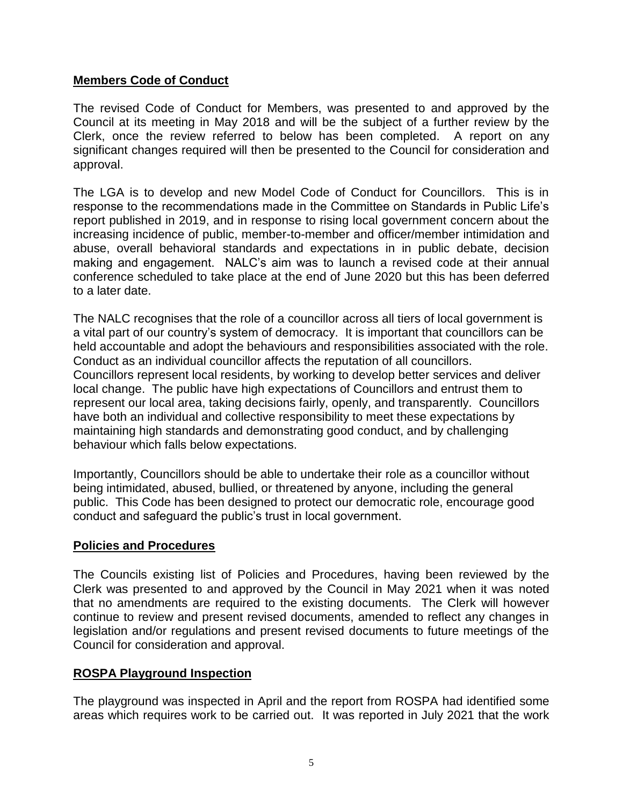# **Members Code of Conduct**

The revised Code of Conduct for Members, was presented to and approved by the Council at its meeting in May 2018 and will be the subject of a further review by the Clerk, once the review referred to below has been completed. A report on any significant changes required will then be presented to the Council for consideration and approval.

The LGA is to develop and new Model Code of Conduct for Councillors. This is in response to the recommendations made in the Committee on Standards in Public Life's report published in 2019, and in response to rising local government concern about the increasing incidence of public, member-to-member and officer/member intimidation and abuse, overall behavioral standards and expectations in in public debate, decision making and engagement. NALC's aim was to launch a revised code at their annual conference scheduled to take place at the end of June 2020 but this has been deferred to a later date.

The NALC recognises that the role of a councillor across all tiers of local government is a vital part of our country's system of democracy. It is important that councillors can be held accountable and adopt the behaviours and responsibilities associated with the role. Conduct as an individual councillor affects the reputation of all councillors. Councillors represent local residents, by working to develop better services and deliver local change. The public have high expectations of Councillors and entrust them to represent our local area, taking decisions fairly, openly, and transparently. Councillors have both an individual and collective responsibility to meet these expectations by maintaining high standards and demonstrating good conduct, and by challenging behaviour which falls below expectations.

Importantly, Councillors should be able to undertake their role as a councillor without being intimidated, abused, bullied, or threatened by anyone, including the general public. This Code has been designed to protect our democratic role, encourage good conduct and safeguard the public's trust in local government.

## **Policies and Procedures**

The Councils existing list of Policies and Procedures, having been reviewed by the Clerk was presented to and approved by the Council in May 2021 when it was noted that no amendments are required to the existing documents. The Clerk will however continue to review and present revised documents, amended to reflect any changes in legislation and/or regulations and present revised documents to future meetings of the Council for consideration and approval.

## **ROSPA Playground Inspection**

The playground was inspected in April and the report from ROSPA had identified some areas which requires work to be carried out. It was reported in July 2021 that the work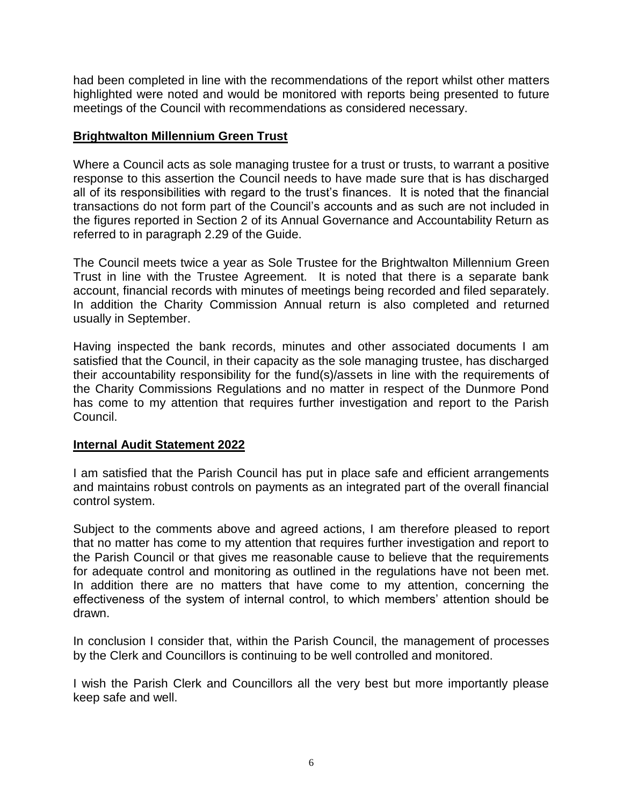had been completed in line with the recommendations of the report whilst other matters highlighted were noted and would be monitored with reports being presented to future meetings of the Council with recommendations as considered necessary.

## **Brightwalton Millennium Green Trust**

Where a Council acts as sole managing trustee for a trust or trusts, to warrant a positive response to this assertion the Council needs to have made sure that is has discharged all of its responsibilities with regard to the trust's finances. It is noted that the financial transactions do not form part of the Council's accounts and as such are not included in the figures reported in Section 2 of its Annual Governance and Accountability Return as referred to in paragraph 2.29 of the Guide.

The Council meets twice a year as Sole Trustee for the Brightwalton Millennium Green Trust in line with the Trustee Agreement. It is noted that there is a separate bank account, financial records with minutes of meetings being recorded and filed separately. In addition the Charity Commission Annual return is also completed and returned usually in September.

Having inspected the bank records, minutes and other associated documents I am satisfied that the Council, in their capacity as the sole managing trustee, has discharged their accountability responsibility for the fund(s)/assets in line with the requirements of the Charity Commissions Regulations and no matter in respect of the Dunmore Pond has come to my attention that requires further investigation and report to the Parish Council.

## **Internal Audit Statement 2022**

I am satisfied that the Parish Council has put in place safe and efficient arrangements and maintains robust controls on payments as an integrated part of the overall financial control system.

Subject to the comments above and agreed actions, I am therefore pleased to report that no matter has come to my attention that requires further investigation and report to the Parish Council or that gives me reasonable cause to believe that the requirements for adequate control and monitoring as outlined in the regulations have not been met. In addition there are no matters that have come to my attention, concerning the effectiveness of the system of internal control, to which members' attention should be drawn.

In conclusion I consider that, within the Parish Council, the management of processes by the Clerk and Councillors is continuing to be well controlled and monitored.

I wish the Parish Clerk and Councillors all the very best but more importantly please keep safe and well.